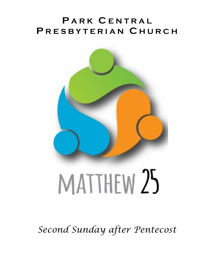# **P A R K C E N T R A L P R E S B Y T E R I A N C H U R C H**



*Second Sunday after Pentecost*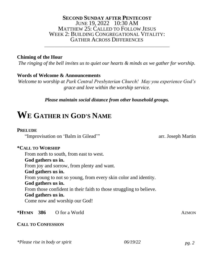## **SECOND SUNDAY AFTER PENTECOST** JUNE 19, 2022 10:30 AM MATTHEW 25: CALLED TO FOLLOW JESUS WEEK 2: BUILDING CONGREGATIONAL VITALITY: GATHER ACROSS DIFFERENCES

\_\_\_\_\_\_\_\_\_\_\_\_\_\_\_\_\_\_\_\_\_\_\_\_\_\_\_\_\_\_\_\_\_\_\_\_\_\_\_\_\_\_\_\_\_\_\_\_\_\_\_\_\_\_\_\_\_\_\_

## **Chiming of the Hour**

*The ringing of the bell invites us to quiet our hearts & minds as we gather for worship.*

## **Words of Welcome & Announcements**

*Welcome to worship at Park Central Presbyterian Church! May you experience God's grace and love within the worship service.*

*Please maintain social distance from other household groups.*

## **W<sup>E</sup> GATHER IN GOD'S NAME**

## **PRELUDE**

"Improvisation on 'Balm in Gilead'" arr. Joseph Martin

## **\*CALL TO WORSHIP** From north to south, from east to west. **God gathers us in.**  From joy and sorrow, from plenty and want. **God gathers us in.**  From young to not so young, from every skin color and identity. **God gathers us in.**  From those confident in their faith to those struggling to believe. **God gathers us in.**  Come now and worship our God! **\*HYMN 386** O for a World AZMON

## **CALL TO CONFESSION**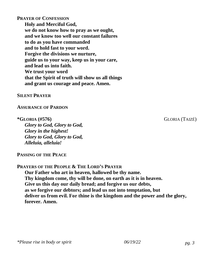## **PRAYER OF CONFESSION**

**Holy and Merciful God, we do not know how to pray as we ought, and we know too well our constant failures to do as you have commanded and to hold fast to your word. Forgive the divisions we nurture, guide us to your way, keep us in your care, and lead us into faith. We trust your word that the Spirit of truth will show us all things and grant us courage and peace. Amen.** 

## **SILENT PRAYER**

## **ASSURANCE OF PARDON**

**\*GLORIA (#576)** GLORIA (TAIZÉ)

*Glory to God, Glory to God, Glory in the highest! Glory to God, Glory to God, Alleluia, alleluia!*

## **PASSING OF THE PEACE**

### **PRAYERS OF THE PEOPLE & THE LORD'S PRAYER**

**Our Father who art in heaven, hallowed be thy name. Thy kingdom come, thy will be done, on earth as it is in heaven. Give us this day our daily bread; and forgive us our debts, as we forgive our debtors; and lead us not into temptation, but deliver us from evil. For thine is the kingdom and the power and the glory, forever. Amen.**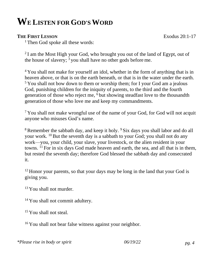# **WE LISTEN FOR GOD'SWORD**

## **THE FIRST LESSON** Exodus 20:1-17

<sup>1</sup> Then God spoke all these words:

 $2$ I am the Most High your God, who brought you out of the land of Egypt, out of the house of slavery;  $3 \text{ you shall have no other gods before me.}$ 

<sup>4</sup> You shall not make for yourself an idol, whether in the form of anything that is in heaven above, or that is on the earth beneath, or that is in the water under the earth. <sup>5</sup> You shall not bow down to them or worship them; for I your God am a jealous God, punishing children for the iniquity of parents, to the third and the fourth generation of those who reject me, <sup>6</sup> but showing steadfast love to the thousandth generation of those who love me and keep my commandments.

<sup>7</sup> You shall not make wrongful use of the name of your God, for God will not acquit anyone who misuses God's name.

<sup>8</sup> Remember the sabbath day, and keep it holy. <sup>9</sup> Six days you shall labor and do all your work.  $^{10}$  But the seventh day is a sabbath to your God; you shall not do any work—you, your child, your slave, your livestock, or the alien resident in your towns. <sup>11</sup> For in six days God made heaven and earth, the sea, and all that is in them, but rested the seventh day; therefore God blessed the sabbath day and consecrated it.

 $12$  Honor your parents, so that your days may be long in the land that your God is giving you.

<sup>13</sup> You shall not murder.

<sup>14</sup> You shall not commit adultery.

<sup>15</sup> You shall not steal.

<sup>16</sup> You shall not bear false witness against your neighbor.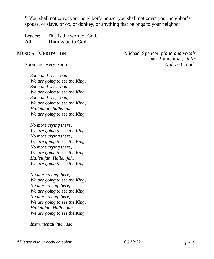$17$  You shall not covet your neighbor's house; you shall not covet your neighbor's spouse, or slave, or ox, or donkey, or anything that belongs to your neighbor.

Leader: This is the word of God. **All: Thanks be to God.**

*Soon and very soon, We are going to see the King, Soon and very soon, We are going to see the King. Soon and very soon, We are going to see the King, Hallelujah, hallelujah, We are going to see the King.*

*No more crying there, We are going to see the King, No more crying there, We are going to see the King. No more crying there, We are going to see the King, Hallelujah, Hallelujah, We are going to see the King.*

*No more dying there, We are going to see the King, No more dying there, We are going to see the King. No more dying there, We are going to see the King, Hallelujah, Hallelujah, We are going to see the King.*

*Instrumental interlude*

**MUSICAL MEDITATION** Michael Spencer, *piano and vocals* Dan Blumenthal, *violin* Soon and Very Soon **Andrae Crouch**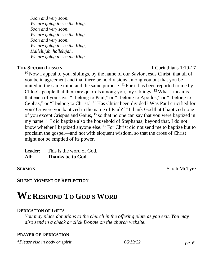*Soon and very soon, We are going to see the King, Soon and very soon, We are going to see the King. Soon and very soon, We are going to see the King, Hallelujah, hallelujah, We are going to see the King.*

## **THE SECOND LESSON** 1 Corinthians 1:10-17

 $10$  Now I appeal to you, siblings, by the name of our Savior Jesus Christ, that all of you be in agreement and that there be no divisions among you but that you be united in the same mind and the same purpose.  $^{11}$  For it has been reported to me by Chloe's people that there are quarrels among you, my siblings.  $12$  What I mean is that each of you says, "I belong to Paul," or "I belong to Apollos," or "I belong to Cephas," or "I belong to Christ." <sup>13</sup> Has Christ been divided? Was Paul crucified for you? Or were you baptized in the name of Paul? <sup>14</sup> I thank God that I baptized none of you except Crispus and Gaius, <sup>15</sup> so that no one can say that you were baptized in my name. <sup>16</sup> I did baptize also the household of Stephanas; beyond that, I do not know whether I baptized anyone else. <sup>17</sup> For Christ did not send me to baptize but to proclaim the gospel—and not with eloquent wisdom, so that the cross of Christ might not be emptied of its power.

Leader: This is the word of God. **All: Thanks be to God**.

**SERMON** Sarah McTyre

## **SILENT MOMENT OF REFLECTION**

# **WE RESPOND TO GOD'S WORD**

## **DEDICATION OF GIFTS**

*You may place donations to the church in the offering plate as you exit. You may also send in a check or click Donate on the church website.*

## **PRAYER OF DEDICATION**

*\*Please rise in body or spirit 06/19/22 pg. 6*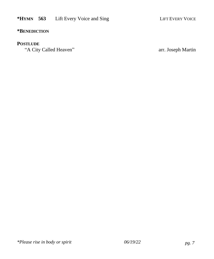## **\*BENEDICTION**

## **POSTLUDE**

"A City Called Heaven" arr. Joseph Martin